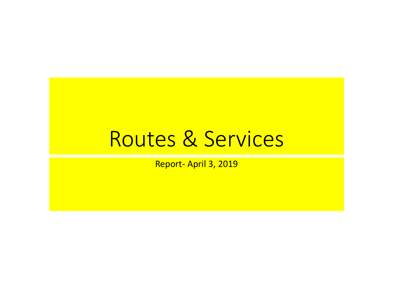## Routes & Services

Report‐ April 3, 2019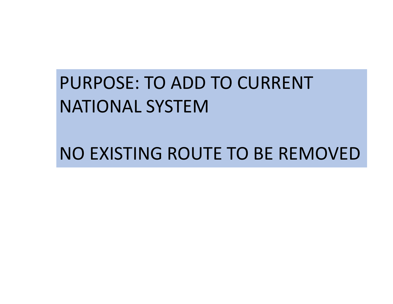## PURPOSE: TO ADD TO CURRENT NATIONAL SYSTEM

NO EXISTING ROUTE TO BE REMOVED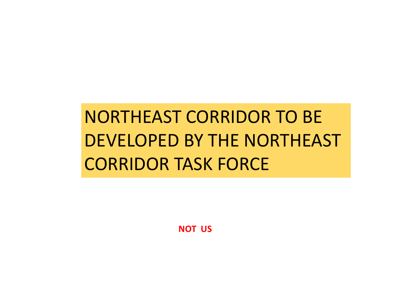# NORTHEAST CORRIDOR TO BE DEVELOPED BY THE NORTHEAST CORRIDOR TASK FORCE

**NOT US**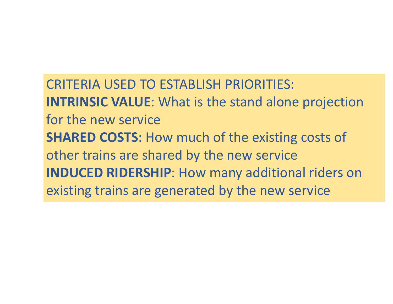CRITERIA USED TO ESTABLISH PRIORITIES:**INTRINSIC VALUE**: What is the stand alone projection for the new service**SHARED COSTS**: How much of the existing costs of other trains are shared by the new service **INDUCED RIDERSHIP**: How many additional riders on existing trains are generated by the new service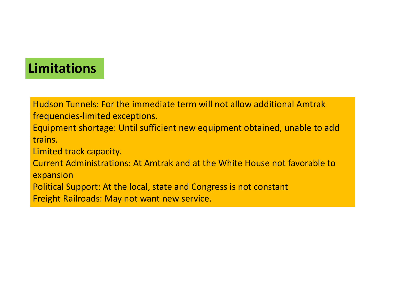## **Limitations**

Hudson Tunnels: For the immediate term will not allow additional Amtrak frequencies‐limited exceptions.

Equipment shortage: Until sufficient new equipment obtained, unable to add trains.

Limited track capacity.

Current Administrations: At Amtrak and at the White House not favorable to expansion

Political Support: At the local, state and Congress is not constant

Freight Railroads: May not want new service.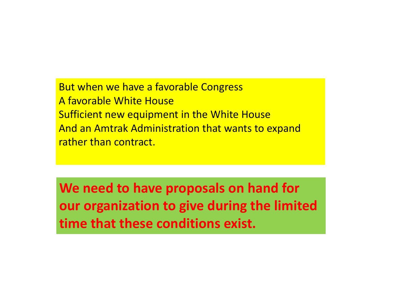But when we have a favorable Congress A favorable White HouseSufficient new equipment in the White House And an Amtrak Administration that wants to expand rather than contract.

**We need to have proposals on hand for our organization to give during the limited time that these conditions exist.**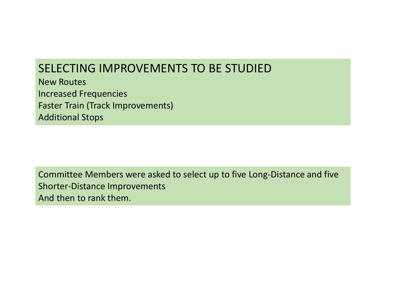### SELECTING IMPROVEMENTS TO BE STUDIED

New RoutesIncreased Frequencies Faster Train (Track Improvements) Additional Stops

Committee Members were asked to select up to five Long‐Distance and five Shorter‐Distance Improvements And then to rank them.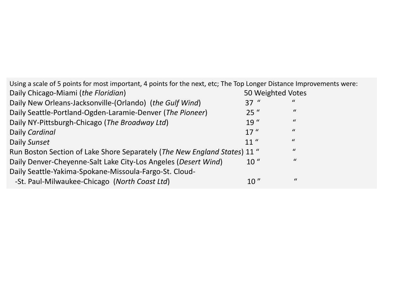| Using a scale of 5 points for most important, 4 points for the next, etc; The Top Longer Distance Improvements were: |                   |                |  |
|----------------------------------------------------------------------------------------------------------------------|-------------------|----------------|--|
| Daily Chicago-Miami (the Floridian)                                                                                  | 50 Weighted Votes |                |  |
| Daily New Orleans-Jacksonville-(Orlando) (the Gulf Wind)                                                             | $37$ "            | $\mathcal{U}$  |  |
| Daily Seattle-Portland-Ogden-Laramie-Denver (The Pioneer)                                                            | $25$ "            | $\bf{u}$       |  |
| Daily NY-Pittsburgh-Chicago (The Broadway Ltd)                                                                       | 19''              | $\mathcal{U}$  |  |
| Daily Cardinal                                                                                                       | 17''              | $\mathcal{U}$  |  |
| Daily Sunset                                                                                                         | 11 <sup>''</sup>  | $\prime\prime$ |  |
| Run Boston Section of Lake Shore Separately (The New England States) 11 "                                            |                   | $\mathcal{U}$  |  |
| Daily Denver-Cheyenne-Salt Lake City-Los Angeles (Desert Wind)                                                       | 10 <sup>''</sup>  | $\mathcal{U}$  |  |
| Daily Seattle-Yakima-Spokane-Missoula-Fargo-St. Cloud-                                                               |                   |                |  |
| -St. Paul-Milwaukee-Chicago (North Coast Ltd)                                                                        | 10"               | $\mathcal{U}$  |  |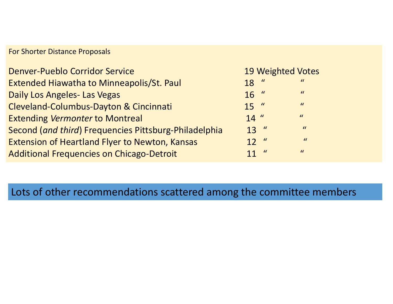#### For Shorter Distance Proposals

| <b>Denver-Pueblo Corridor Service</b>                 |                 |                  | <b>19 Weighted Votes</b> |
|-------------------------------------------------------|-----------------|------------------|--------------------------|
| <b>Extended Hiawatha to Minneapolis/St. Paul</b>      | 18              | $\boldsymbol{u}$ | $\boldsymbol{u}$         |
| <b>Daily Los Angeles- Las Vegas</b>                   | $16$ "          |                  | $\overline{u}$           |
| <b>Cleveland-Columbus-Dayton &amp; Cincinnati</b>     | $15$ "          |                  | $\overline{u}$           |
| <b>Extending Vermonter to Montreal</b>                | $14$ "          |                  | $\boldsymbol{u}$         |
| Second (and third) Frequencies Pittsburg-Philadelphia | $13$ "          |                  | $\boldsymbol{u}$         |
| <b>Extension of Heartland Flyer to Newton, Kansas</b> | 12 <sup>u</sup> |                  | $\mathcal{U}$            |
| <b>Additional Frequencies on Chicago-Detroit</b>      | 11 <sup>u</sup> |                  | $\boldsymbol{u}$         |

### Lots of other recommendations scattered among the committee members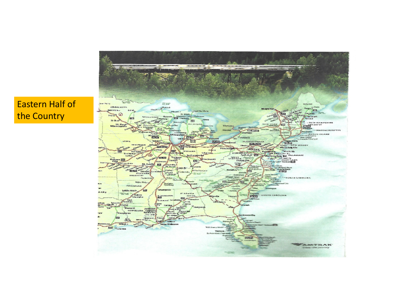#### Eastern Half of the Country

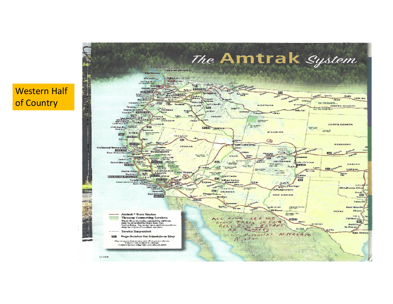#### Western Half of Country

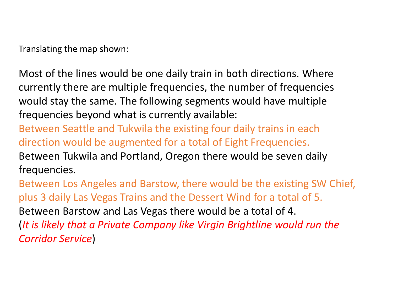Translating the map shown:

Most of the lines would be one daily train in both directions. Where currently there are multiple frequencies, the number of frequencies would stay the same. The following segments would have multiple frequencies beyond what is currently available:

Between Seattle and Tukwila the existing four daily trains in each direction would be augmented for a total of Eight Frequencies. Between Tukwila and Portland, Oregon there would be seven daily frequencies.

Between Los Angeles and Barstow, there would be the existing SW Chief, plus 3 daily Las Vegas Trains and the Dessert Wind for a total of 5. Between Barstow and Las Vegas there would be a total of 4. (*It is likely that a Private Company like Virgin Brightline would run the Corridor Service*)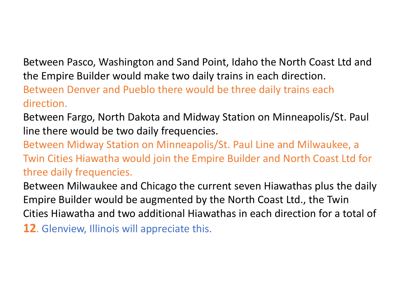Between Pasco, Washington and Sand Point, Idaho the North Coast Ltd and the Empire Builder would make two daily trains in each direction.

Between Denver and Pueblo there would be three daily trains each direction.

Between Fargo, North Dakota and Midway Station on Minneapolis/St. Paul line there would be two daily frequencies.

Between Midway Station on Minneapolis/St. Paul Line and Milwaukee, a Twin Cities Hiawatha would join the Empire Builder and North Coast Ltd for three daily frequencies.

Between Milwaukee and Chicago the current seven Hiawathas plus the daily Empire Builder would be augmented by the North Coast Ltd., the Twin Cities Hiawatha and two additional Hiawathas in each direction for a total of

**12**. Glenview, Illinois will appreciate this.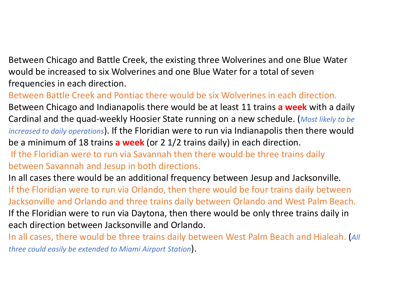Between Chicago and Battle Creek, the existing three Wolverines and one Blue Water would be increased to six Wolverines and one Blue Water for a total of seven frequencies in each direction.

Between Battle Creek and Pontiac there would be six Wolverines in each direction. Between Chicago and Indianapolis there would be at least 11 trains **a week** with a daily Cardinal and the quad‐weekly Hoosier State running on a new schedule. (*Most likely to be increased to daily operations*). If the Floridian were to run via Indianapolis then there would be a minimum of 18 trains **a week** (or 2 1/2 trains daily) in each direction.

If the Floridian were to run via Savannah then there would be three trains daily between Savannah and Jesup in both directions.

In all cases there would be an additional frequency between Jesup and Jacksonville. If the Floridian were to run via Orlando, then there would be four trains daily between Jacksonville and Orlando and three trains daily between Orlando and West Palm Beach. If the Floridian were to run via Daytona, then there would be only three trains daily in each direction between Jacksonville and Orlando.

In all cases, there would be three trains daily between West Palm Beach and Hialeah. (*All three could easily be extended to Miami Airport Station*).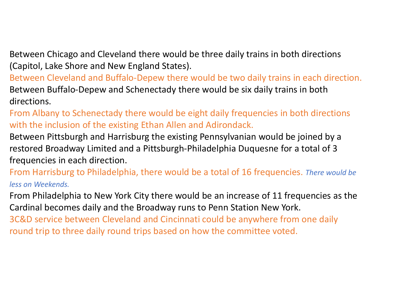Between Chicago and Cleveland there would be three daily trains in both directions (Capitol, Lake Shore and New England States).

Between Cleveland and Buffalo‐Depew there would be two daily trains in each direction. Between Buffalo‐Depew and Schenectady there would be six daily trains in both directions.

From Albany to Schenectady there would be eight daily frequencies in both directions with the inclusion of the existing Ethan Allen and Adirondack.

Between Pittsburgh and Harrisburg the existing Pennsylvanian would be joined by a restored Broadway Limited and a Pittsburgh‐Philadelphia Duquesne for a total of 3 frequencies in each direction.

From Harrisburg to Philadelphia, there would be a total of 16 frequencies. *There would be less on Weekends.*

From Philadelphia to New York City there would be an increase of 11 frequencies as the Cardinal becomes daily and the Broadway runs to Penn Station New York.

3C&D service between Cleveland and Cincinnati could be anywhere from one daily round trip to three daily round trips based on how the committee voted.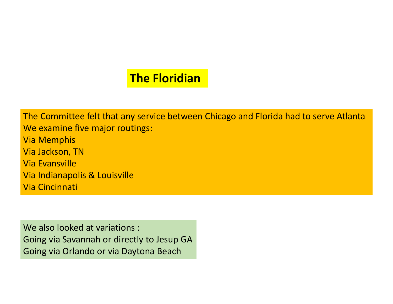## **The Floridian**

The Committee felt that any service between Chicago and Florida had to serve Atlanta We examine five major routings: Via Memphis Via Jackson, TN Via EvansvilleVia Indianapolis & Louisville Via Cincinnati

We also looked at variations : Going via Savannah or directly to Jesup GA Going via Orlando or via Daytona Beach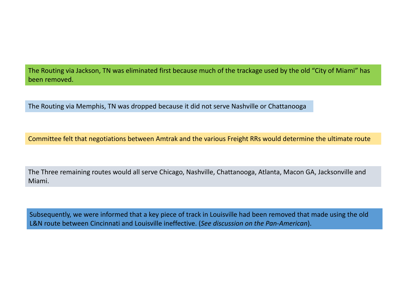The Routing via Jackson, TN was eliminated first because much of the trackage used by the old "City of Miami" has been removed.

The Routing via Memphis, TN was dropped because it did not serve Nashville or Chattanooga

Committee felt that negotiations between Amtrak and the various Freight RRs would determine the ultimate route

The Three remaining routes would all serve Chicago, Nashville, Chattanooga, Atlanta, Macon GA, Jacksonville and Miami.

Subsequently, we were informed that a key piece of track in Louisville had been removed that made using the old L&N route between Cincinnati and Louisville ineffective. (*See discussion on the Pan‐American*).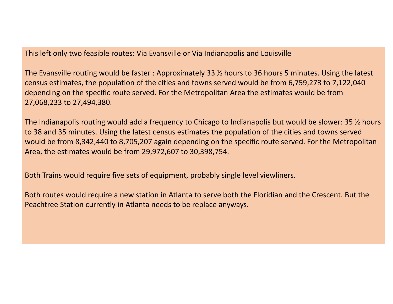This left only two feasible routes: Via Evansville or Via Indianapolis and Louisville

The Evansville routing would be faster : Approximately 33 ½ hours to 36 hours 5 minutes. Using the latest census estimates, the population of the cities and towns served would be from 6,759,273 to 7,122,040 depending on the specific route served. For the Metropolitan Area the estimates would be from 27,068,233 to 27,494,380.

The Indianapolis routing would add a frequency to Chicago to Indianapolis but would be slower: 35 ½ hours to 38 and 35 minutes. Using the latest census estimates the population of the cities and towns served would be from 8,342,440 to 8,705,207 again depending on the specific route served. For the Metropolitan Area, the estimates would be from 29,972,607 to 30,398,754.

Both Trains would require five sets of equipment, probably single level viewliners.

Both routes would require a new station in Atlanta to serve both the Floridian and the Crescent. But the Peachtree Station currently in Atlanta needs to be replace anyways.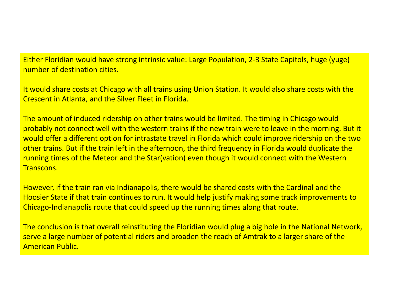Either Floridian would have strong intrinsic value: Large Population, 2‐3 State Capitols, huge (yuge) number of destination cities.

It would share costs at Chicago with all trains using Union Station. It would also share costs with the Crescent in Atlanta, and the Silver Fleet in Florida.

The amount of induced ridership on other trains would be limited. The timing in Chicago would probably not connect well with the western trains if the new train were to leave in the morning. But it would offer a different option for intrastate travel in Florida which could improve ridership on the two other trains. But if the train left in the afternoon, the third frequency in Florida would duplicate the running times of the Meteor and the Star(vation) even though it would connect with the Western Transcons.

However, if the train ran via Indianapolis, there would be shared costs with the Cardinal and the Hoosier State if that train continues to run. It would help justify making some track improvements to Chicago‐Indianapolis route that could speed up the running times along that route.

The conclusion is that overall reinstituting the Floridian would plug a big hole in the National Network, serve a large number of potential riders and broaden the reach of Amtrak to a larger share of the American Public.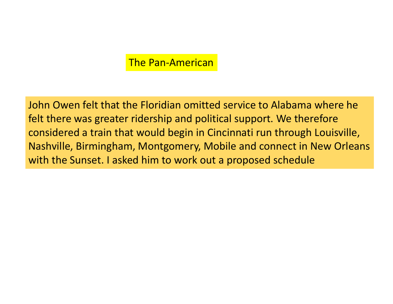#### The Pan‐American

John Owen felt that the Floridian omitted service to Alabama where he felt there was greater ridership and political support. We therefore considered a train that would begin in Cincinnati run through Louisville, Nashville, Birmingham, Montgomery, Mobile and connect in New Orleans with the Sunset. I asked him to work out a proposed schedule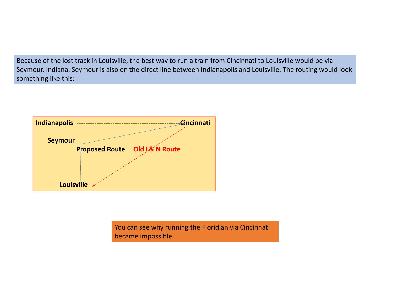Because of the lost track in Louisville, the best way to run a train from Cincinnati to Louisville would be via Seymour, Indiana. Seymour is also on the direct line between Indianapolis and Louisville. The routing would look something like this:



You can see why running the Floridian via Cincinnati became impossible.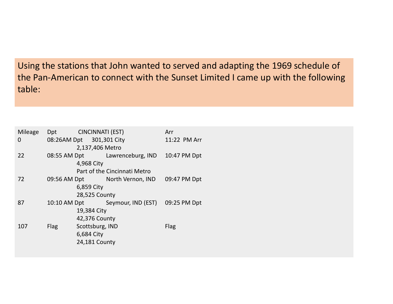Using the stations that John wanted to served and adapting the 1969 schedule of the Pan‐American to connect with the Sunset Limited I came up with the following table:

| Mileage | Dpt                      | CINCINNATI (EST) |                                 | Arr          |  |
|---------|--------------------------|------------------|---------------------------------|--------------|--|
| 0       | 08:26AM Dpt 301,301 City |                  |                                 | 11:22 PM Arr |  |
|         |                          | 2,137,406 Metro  |                                 |              |  |
| 22      |                          |                  | 08:55 AM Dpt Lawrenceburg, IND  | 10:47 PM Dpt |  |
|         |                          | 4,968 City       |                                 |              |  |
|         |                          |                  | Part of the Cincinnati Metro    |              |  |
| 72      | 09:56 AM Dpt             |                  | North Vernon, IND               | 09:47 PM Dpt |  |
|         |                          | 6,859 City       |                                 |              |  |
|         | 28,525 County            |                  |                                 |              |  |
| 87      | 10:10 AM Dpt             |                  | Seymour, IND (EST) 09:25 PM Dpt |              |  |
|         |                          | 19,384 City      |                                 |              |  |
|         |                          | 42,376 County    |                                 |              |  |
| 107     | <b>Flag</b>              | Scottsburg, IND  |                                 | Flag         |  |
|         |                          | 6,684 City       |                                 |              |  |
|         |                          | 24,181 County    |                                 |              |  |
|         |                          |                  |                                 |              |  |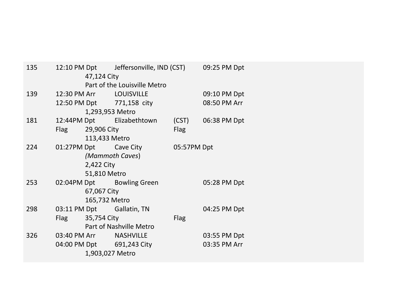| 135             |      | 47,124 City      | 12:10 PM Dpt Jeffersonville, IND (CST) 09:25 PM Dpt |             |              |
|-----------------|------|------------------|-----------------------------------------------------|-------------|--------------|
|                 |      |                  | Part of the Louisville Metro                        |             |              |
| 139             |      |                  | 12:30 PM Arr LOUISVILLE                             |             | 09:10 PM Dpt |
|                 |      |                  | 12:50 PM Dpt 771,158 city                           |             | 08:50 PM Arr |
|                 |      | 1,293,953 Metro  |                                                     |             |              |
| 181             |      |                  | 12:44PM Dpt Elizabethtown                           | (CST)       | 06:38 PM Dpt |
|                 |      | Flag 29,906 City |                                                     | <b>Flag</b> |              |
|                 |      | 113,433 Metro    |                                                     |             |              |
| 224             |      |                  | 01:27PM Dpt Cave City                               | 05:57PM Dpt |              |
| (Mammoth Caves) |      |                  |                                                     |             |              |
| 2,422 City      |      |                  |                                                     |             |              |
|                 |      | 51,810 Metro     |                                                     |             |              |
| 253             |      |                  | 02:04PM Dpt Bowling Green                           |             | 05:28 PM Dpt |
|                 |      | 67,067 City      |                                                     |             |              |
|                 |      | 165,732 Metro    |                                                     |             |              |
| 298             |      |                  | 03:11 PM Dpt Gallatin, TN                           |             | 04:25 PM Dpt |
|                 | Flag | 35,754 City      |                                                     | <b>Flag</b> |              |
|                 |      |                  | Part of Nashville Metro                             |             |              |
| 326             |      |                  | 03:40 PM Arr NASHVILLE                              |             | 03:55 PM Dpt |
|                 |      |                  | 04:00 PM Dpt 691,243 City                           |             | 03:35 PM Arr |
|                 |      | 1,903,027 Metro  |                                                     |             |              |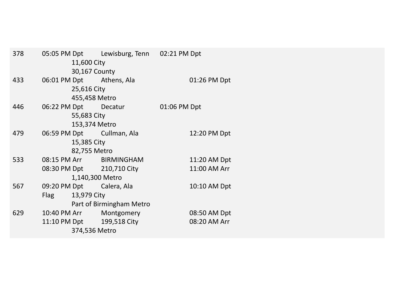| 378 |                      |                 | 05:05 PM Dpt Lewisburg, Tenn 02:21 PM Dpt |              |              |
|-----|----------------------|-----------------|-------------------------------------------|--------------|--------------|
|     |                      | 11,600 City     |                                           |              |              |
|     | 30,167 County        |                 |                                           |              |              |
| 433 |                      |                 | 06:01 PM Dpt Athens, Ala                  |              | 01:26 PM Dpt |
|     |                      | 25,616 City     |                                           |              |              |
|     |                      | 455,458 Metro   |                                           |              |              |
| 446 | 06:22 PM Dpt Decatur |                 |                                           | 01:06 PM Dpt |              |
|     |                      | 55,683 City     |                                           |              |              |
|     |                      | 153,374 Metro   |                                           |              |              |
| 479 |                      |                 | 06:59 PM Dpt Cullman, Ala                 |              | 12:20 PM Dpt |
|     |                      | 15,385 City     |                                           |              |              |
|     |                      | 82,755 Metro    |                                           |              |              |
| 533 |                      |                 | 08:15 PM Arr BIRMINGHAM                   |              | 11:20 AM Dpt |
|     |                      |                 | 08:30 PM Dpt 210,710 City                 |              | 11:00 AM Arr |
|     |                      | 1,140,300 Metro |                                           |              |              |
| 567 |                      |                 | 09:20 PM Dpt Calera, Ala                  |              | 10:10 AM Dpt |
|     | <b>Flag</b>          | 13,979 City     |                                           |              |              |
|     |                      |                 | Part of Birmingham Metro                  |              |              |
| 629 |                      |                 | 10:40 PM Arr Montgomery                   |              | 08:50 AM Dpt |
|     |                      |                 | 11:10 PM Dpt   199,518 City               |              | 08:20 AM Arr |
|     |                      | 374,536 Metro   |                                           |              |              |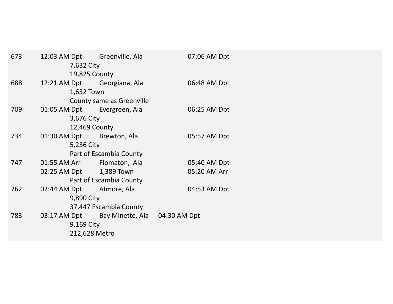| 673                     |  | 7,632 City    | 12:03 AM Dpt Greenville, Ala               |  | 07:06 AM Dpt |
|-------------------------|--|---------------|--------------------------------------------|--|--------------|
|                         |  | 19,825 County |                                            |  |              |
| 688                     |  |               | 12:21 AM Dpt Georgiana, Ala                |  | 06:48 AM Dpt |
|                         |  | 1,632 Town    |                                            |  |              |
|                         |  |               | County same as Greenville                  |  |              |
| 709                     |  |               | 01:05 AM Dpt Evergreen, Ala                |  | 06:25 AM Dpt |
|                         |  | 3,676 City    |                                            |  |              |
|                         |  | 12,469 County |                                            |  |              |
| 734                     |  |               | 01:30 AM Dpt Brewton, Ala                  |  | 05:57 AM Dpt |
|                         |  | 5,236 City    |                                            |  |              |
| Part of Escambia County |  |               |                                            |  |              |
| 747                     |  |               | 01:55 AM Arr Flomaton, Ala                 |  | 05:40 AM Dpt |
|                         |  |               | 02:25 AM Dpt 1,389 Town                    |  | 05:20 AM Arr |
|                         |  |               | Part of Escambia County                    |  |              |
| 762                     |  |               | 02:44 AM Dpt Atmore, Ala                   |  | 04:53 AM Dpt |
|                         |  | 9,890 City    |                                            |  |              |
|                         |  |               | 37,447 Escambia County                     |  |              |
| 783                     |  |               | 03:17 AM Dpt Bay Minette, Ala 04:30 AM Dpt |  |              |
|                         |  | 9,169 City    |                                            |  |              |
|                         |  | 212,628 Metro |                                            |  |              |
|                         |  |               |                                            |  |              |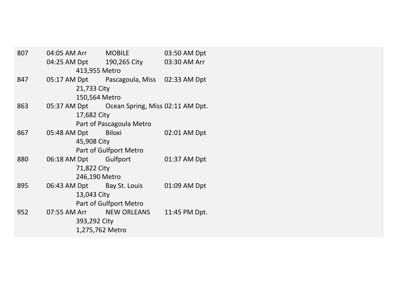| 807                    |               | 04:05 AM Arr MOBILE   |                                               | 03:50 AM Dpt  |  |  |  |
|------------------------|---------------|-----------------------|-----------------------------------------------|---------------|--|--|--|
|                        |               |                       | 04:25 AM Dpt 190,265 City                     | 03:30 AM Arr  |  |  |  |
|                        | 413,955 Metro |                       |                                               |               |  |  |  |
| 847                    |               |                       | 05:17 AM Dpt Pascagoula, Miss 02:33 AM Dpt    |               |  |  |  |
|                        |               | 21,733 City           |                                               |               |  |  |  |
|                        |               | 150,564 Metro         |                                               |               |  |  |  |
| 863                    |               |                       | 05:37 AM Dpt Ocean Spring, Miss 02:11 AM Dpt. |               |  |  |  |
|                        |               | 17,682 City           |                                               |               |  |  |  |
|                        |               |                       | Part of Pascagoula Metro                      |               |  |  |  |
| 867                    |               | 05:48 AM Dpt Biloxi   |                                               | 02:01 AM Dpt  |  |  |  |
|                        |               | 45,908 City           |                                               |               |  |  |  |
|                        |               |                       | Part of Gulfport Metro                        |               |  |  |  |
| 880                    |               | 06:18 AM Dpt Gulfport |                                               | 01:37 AM Dpt  |  |  |  |
| 71,822 City            |               |                       |                                               |               |  |  |  |
|                        | 246,190 Metro |                       |                                               |               |  |  |  |
| 895                    |               |                       | 06:43 AM Dpt Bay St. Louis                    | 01:09 AM Dpt  |  |  |  |
|                        |               | 13,043 City           |                                               |               |  |  |  |
| Part of Gulfport Metro |               |                       |                                               |               |  |  |  |
| 952                    |               |                       | 07:55 AM Arr NEW ORLEANS                      | 11:45 PM Dpt. |  |  |  |
| 393,292 City           |               |                       |                                               |               |  |  |  |
|                        |               | 1,275,762 Metro       |                                               |               |  |  |  |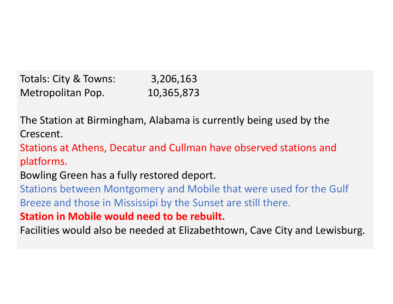Totals: City & Towns: 3,206,163 Metropolitan Pop. 10,365,873

The Station at Birmingham, Alabama is currently being used by the Crescent.

Stations at Athens, Decatur and Cullman have observed stations and platforms.

Bowling Green has a fully restored deport.

Stations between Montgomery and Mobile that were used for the Gulf Breeze and those in Mississipi by the Sunset are still there.

**Station in Mobile would need to be rebuilt.**

Facilities would also be needed at Elizabethtown, Cave City and Lewisburg.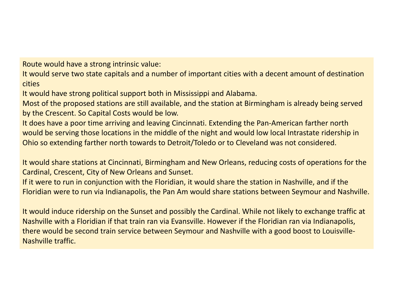Route would have a strong intrinsic value:

It would serve two state capitals and a number of important cities with a decent amount of destination cities

It would have strong political support both in Mississippi and Alabama.

Most of the proposed stations are still available, and the station at Birmingham is already being served by the Crescent. So Capital Costs would be low.

It does have a poor time arriving and leaving Cincinnati. Extending the Pan‐American farther north would be serving those locations in the middle of the night and would low local Intrastate ridership in Ohio so extending farther north towards to Detroit/Toledo or to Cleveland was not considered.

It would share stations at Cincinnati, Birmingham and New Orleans, reducing costs of operations for the Cardinal, Crescent, City of New Orleans and Sunset.

If it were to run in conjunction with the Floridian, it would share the station in Nashville, and if the Floridian were to run via Indianapolis, the Pan Am would share stations between Seymour and Nashville.

It would induce ridership on the Sunset and possibly the Cardinal. While not likely to exchange traffic at Nashville with a Floridian if that train ran via Evansville. However if the Floridian ran via Indianapolis, there would be second train service between Seymour and Nashville with a good boost to Louisville‐ Nashville traffic.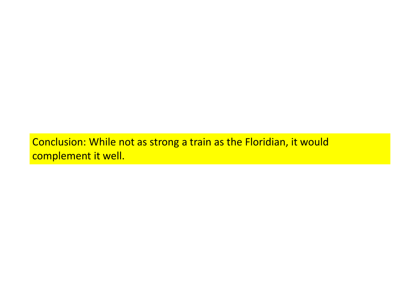Conclusion: While not as strong a train as the Floridian, it would complement it well.